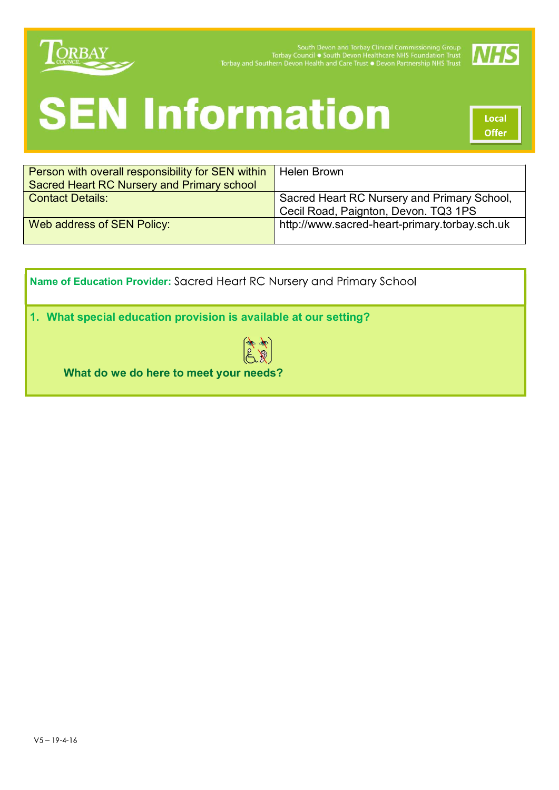

South Devon and Torbay Clinical Commissioning Group<br>Torbay Council • South Devon Healthcare NHS Foundation Trust<br>Torbay and Southern Devon Health and Care Trust • Devon Partnership NHS Trust



# **SEN Information**

Local **Offer** 

| Person with overall responsibility for SEN within | Helen Brown                                   |  |
|---------------------------------------------------|-----------------------------------------------|--|
| Sacred Heart RC Nursery and Primary school        |                                               |  |
| <b>Contact Details:</b>                           | Sacred Heart RC Nursery and Primary School,   |  |
|                                                   | Cecil Road, Paignton, Devon. TQ3 1PS          |  |
| Web address of SEN Policy:                        | http://www.sacred-heart-primary.torbay.sch.uk |  |
|                                                   |                                               |  |
|                                                   |                                               |  |

Name of Education Provider: Sacred Heart RC Nursery and Primary School

1. What special education provision is available at our setting?



What do we do here to meet your needs?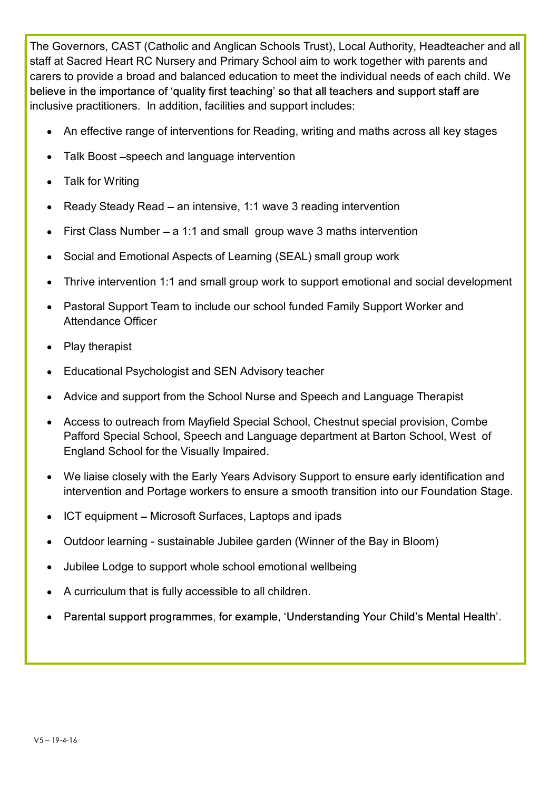The Governors, CAST (Catholic and Anglican Schools Trust), Local Authority, Headteacher and all staff at Sacred Heart RC Nursery and Primary School aim to work together with parents and carers to provide a broad and balanced education to meet the individual needs of each child. We believe in the importance of 'quality first teaching' so that all teachers and support staff are inclusive practitioners. In addition, facilities and support includes:

- An effective range of interventions for Reading, writing and maths across all key stages
- Talk Boost -speech and language intervention
- Talk for Writing
- Ready Steady Read an intensive, 1:1 wave 3 reading intervention
- First Class Number a 1:1 and small group wave 3 maths intervention
- Social and Emotional Aspects of Learning (SEAL) small group work
- Thrive intervention 1:1 and small group work to support emotional and social development
- Pastoral Support Team to include our school funded Family Support Worker and Attendance Officer
- Play therapist
- Educational Psychologist and SEN Advisory teacher
- Advice and support from the School Nurse and Speech and Language Therapist
- Access to outreach from Mayfield Special School, Chestnut special provision, Combe Pafford Special School, Speech and Language department at Barton School, West of England School for the Visually Impaired.
- We liaise closely with the Early Years Advisory Support to ensure early identification and intervention and Portage workers to ensure a smooth transition into our Foundation Stage.
- ICT equipment Microsoft Surfaces, Laptops and ipads
- Outdoor learning sustainable Jubilee garden (Winner of the Bay in Bloom)
- Jubilee Lodge to support whole school emotional wellbeing
- A curriculum that is fully accessible to all children.
- Parental support programmes, for example, 'Understanding Your Child's Mental Health'.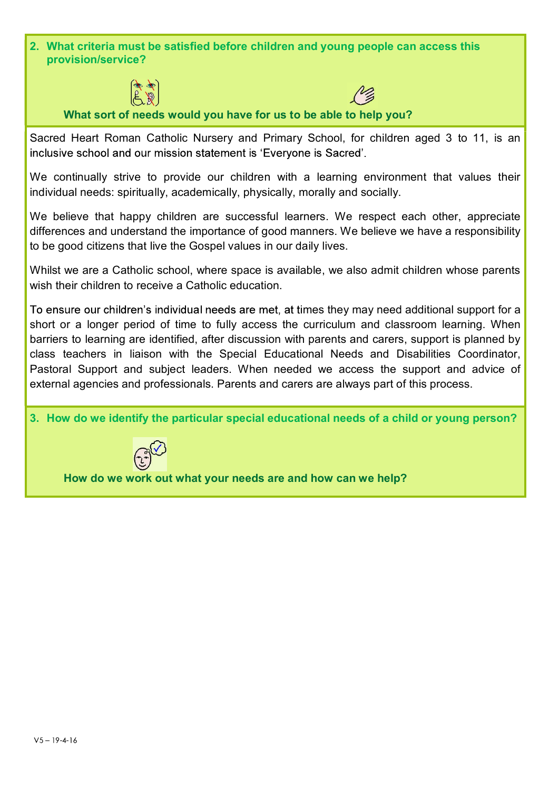2. What criteria must be satisfied before children and young people can access this provision/service?





What sort of needs would you have for us to be able to help you?

Sacred Heart Roman Catholic Nursery and Primary School, for children aged 3 to 11, is an inclusive school and our mission statement is 'Evervone is Sacred'.

We continually strive to provide our children with a learning environment that values their individual needs: spiritually, academically, physically, morally and socially.

We believe that happy children are successful learners. We respect each other, appreciate differences and understand the importance of good manners. We believe we have a responsibility to be good citizens that live the Gospel values in our daily lives.

Whilst we are a Catholic school, where space is available, we also admit children whose parents wish their children to receive a Catholic education.

To ensure our children's individual needs are met, at times they may need additional support for a short or a longer period of time to fully access the curriculum and classroom learning. When barriers to learning are identified, after discussion with parents and carers, support is planned by class teachers in liaison with the Special Educational Needs and Disabilities Coordinator, Pastoral Support and subject leaders. When needed we access the support and advice of external agencies and professionals. Parents and carers are always part of this process. We continually strive to provide our children with a learning environment that values their<br>individual needs: spiritually, academically, physically, morally and socially.<br>We believe that happy children are successful learn



How do we work out what your needs are and how can we help?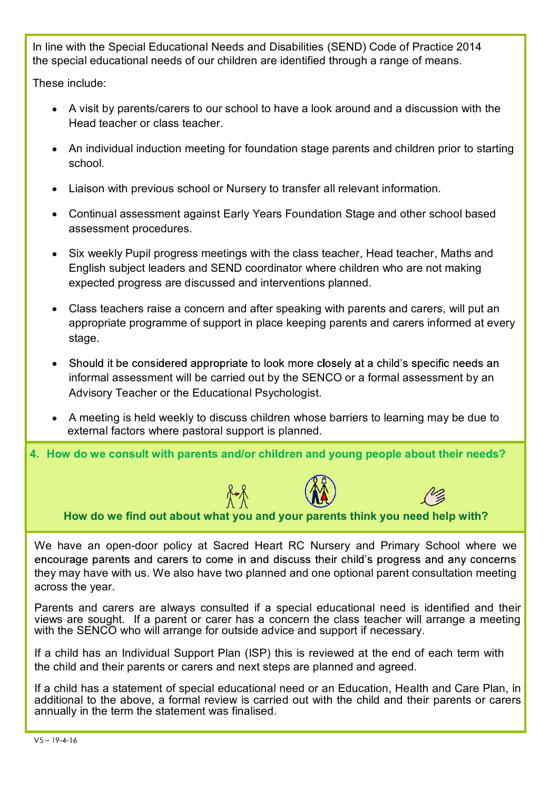In line with the Special Educational Needs and Disabilities (SEND) Code of Practice 2014 the special educational needs of our children are identified through a range of means.

These include:

- A visit by parents/carers to our school to have a look around and a discussion with the Head teacher or class teacher.
- An individual induction meeting for foundation stage parents and children prior to starting school.
- Liaison with previous school or Nursery to transfer all relevant information.
- Continual assessment against Early Years Foundation Stage and other school based assessment procedures.
- Six weekly Pupil progress meetings with the class teacher, Head teacher, Maths and English subject leaders and SEND coordinator where children who are not making expected progress are discussed and interventions planned.
- Class teachers raise a concern and after speaking with parents and carers, will put an appropriate programme of support in place keeping parents and carers informed at every stage.
- Should it be considered appropriate to look more closely at a child's specific needs an informal assessment will be carried out by the SENCO or a formal assessment by an Advisory Teacher or the Educational Psychologist.
- A meeting is held weekly to discuss children whose barriers to learning may be due to external factors where pastoral support is planned.

4. How do we consult with parents and/or children and young people about their needs?





How do we find out about what you and your parents think you need help with?

We have an open-door policy at Sacred Heart RC Nursery and Primary School where we they may have with us. We also have two planned and one optional parent consultation meeting across the year. Advisory Teacher or the Educational Psychologist.<br>
• A meeting is held weekly to discuss children whose barriers to learning may be due to<br>
external factors where pastoral support is planned.<br>
• Now do we consult with pare

Parents and carers are always consulted if a special educational need is identified and their views are sought. If a parent or carer has a concern the class teacher will arrange a meeting with the SENCO who will arrange for outside advice and support if necessary.

If a child has an Individual Support Plan (ISP) this is reviewed at the end of each term with the child and their parents or carers and next steps are planned and agreed.

If a child has a statement of special educational need or an Education, Health and Care Plan, in additional to the above, a formal review is carried out with the child and their parents or carers annually in the term the statement was finalised.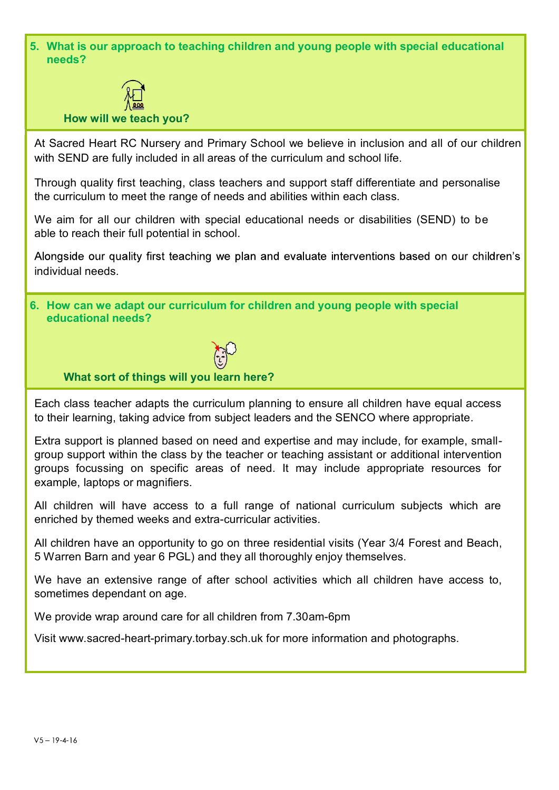5. What is our approach to teaching children and young people with special educational needs?



How will we teach you?

At Sacred Heart RC Nursery and Primary School we believe in inclusion and all of our children with SEND are fully included in all areas of the curriculum and school life.

Through quality first teaching, class teachers and support staff differentiate and personalise the curriculum to meet the range of needs and abilities within each class.

We aim for all our children with special educational needs or disabilities (SEND) to be able to reach their full potential in school.

Alongside our quality first teaching we plan and evaluate interventions based on our children's individual needs.

6. How can we adapt our curriculum for children and young people with special educational needs?



#### What sort of things will you learn here?

Each class teacher adapts the curriculum planning to ensure all children have equal access to their learning, taking advice from subject leaders and the SENCO where appropriate.

Extra support is planned based on need and expertise and may include, for example, smallgroup support within the class by the teacher or teaching assistant or additional intervention groups focussing on specific areas of need. It may include appropriate resources for example, laptops or magnifiers.

All children will have access to a full range of national curriculum subjects which are enriched by themed weeks and extra-curricular activities.

All children have an opportunity to go on three residential visits (Year 3/4 Forest and Beach, 5 Warren Barn and year 6 PGL) and they all thoroughly enjoy themselves.

We have an extensive range of after school activities which all children have access to, sometimes dependant on age.

We provide wrap around care for all children from 7.30am-6pm

Visit www.sacred-heart-primary.torbay.sch.uk for more information and photographs.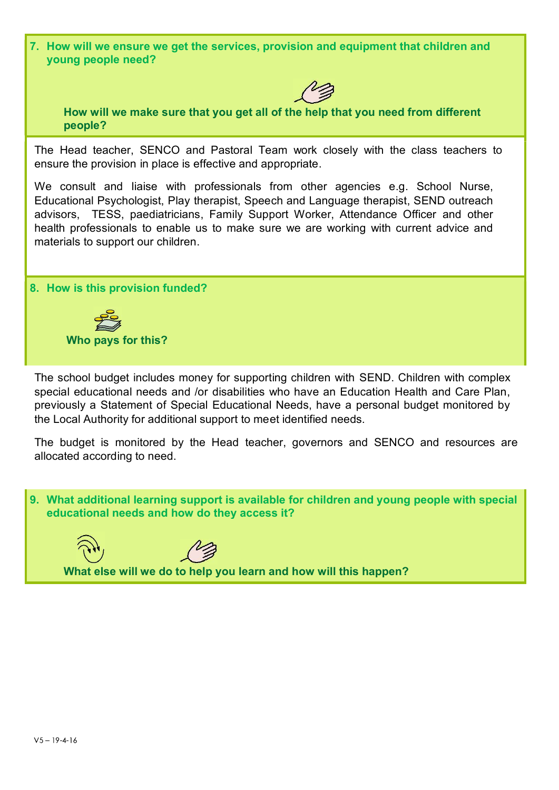7. How will we ensure we get the services, provision and equipment that children and young people need?



 How will we make sure that you get all of the help that you need from different people?

The Head teacher, SENCO and Pastoral Team work closely with the class teachers to ensure the provision in place is effective and appropriate.

We consult and liaise with professionals from other agencies e.g. School Nurse, Educational Psychologist, Play therapist, Speech and Language therapist, SEND outreach advisors, TESS, paediatricians, Family Support Worker, Attendance Officer and other health professionals to enable us to make sure we are working with current advice and materials to support our children.

#### 8. How is this provision funded?



The school budget includes money for supporting children with SEND. Children with complex special educational needs and /or disabilities who have an Education Health and Care Plan, previously a Statement of Special Educational Needs, have a personal budget monitored by the Local Authority for additional support to meet identified needs.

The budget is monitored by the Head teacher, governors and SENCO and resources are allocated according to need.

9. What additional learning support is available for children and young people with special educational needs and how do they access it?

What else will we do to help you learn and how will this happen?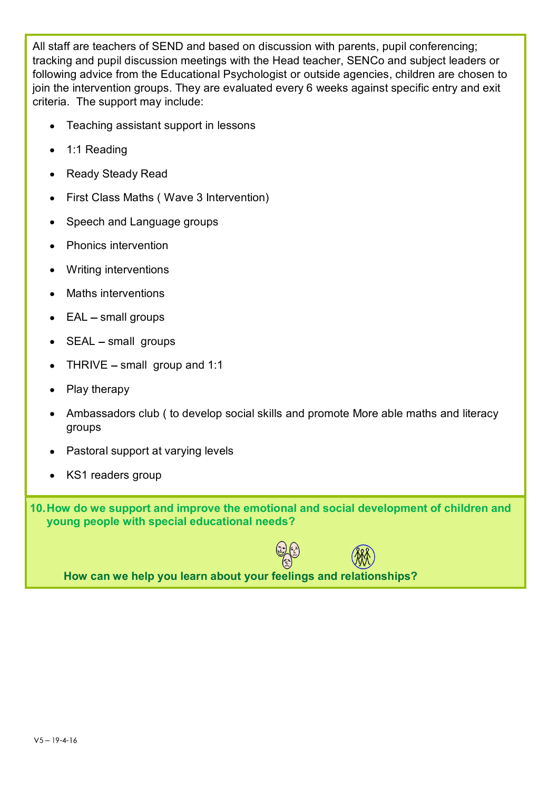All staff are teachers of SEND and based on discussion with parents, pupil conferencing; tracking and pupil discussion meetings with the Head teacher, SENCo and subject leaders or following advice from the Educational Psychologist or outside agencies, children are chosen to join the intervention groups. They are evaluated every 6 weeks against specific entry and exit criteria. The support may include:

- Teaching assistant support in lessons
- 1:1 Reading
- Ready Steady Read
- First Class Maths ( Wave 3 Intervention)
- Speech and Language groups
- Phonics intervention
- Writing interventions
- Maths interventions
- $\bullet$  EAL small groups
- $\bullet$  SEAL small groups
- THRIVE  $-$  small group and 1:1
- Play therapy
- Ambassadors club ( to develop social skills and promote More able maths and literacy groups
- Pastoral support at varying levels
- KS1 readers group

10. How do we support and improve the emotional and social development of children and young people with special educational needs?



How can we help you learn about your feelings and relationships?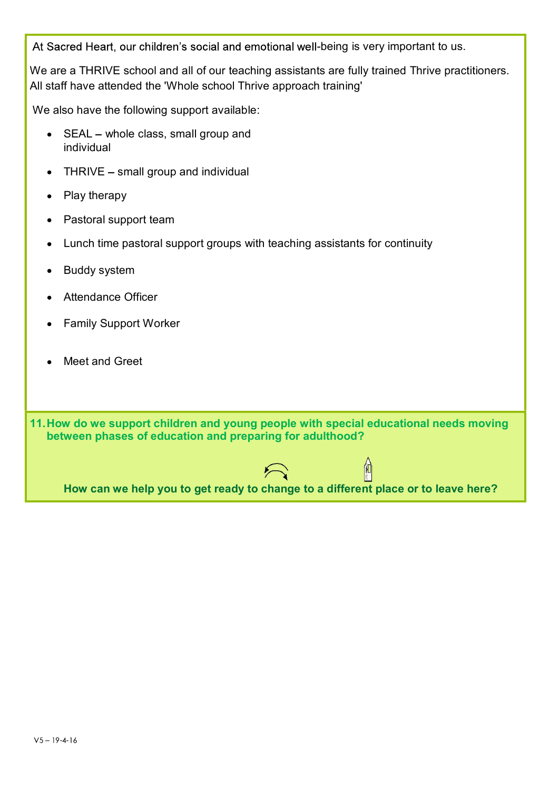At Sacred Heart, our children's social and emotional well-being is very important to us.

We are a THRIVE school and all of our teaching assistants are fully trained Thrive practitioners. All staff have attended the 'Whole school Thrive approach training'

We also have the following support available:

- SEAL whole class, small group and individual
- $\bullet$  THRIVE small group and individual
- Play therapy
- Pastoral support team
- Lunch time pastoral support groups with teaching assistants for continuity
- Buddy system  $\bullet$
- Attendance Officer
- Family Support Worker
- Meet and Greet

11. How do we support children and young people with special educational needs moving between phases of education and preparing for adulthood?



 $\mathbb{A}$ 

How can we help you to get ready to change to a different place or to leave here?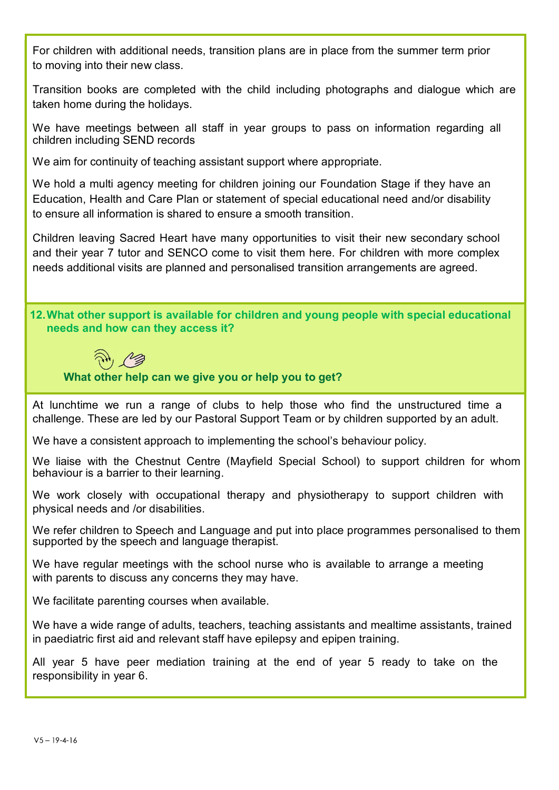For children with additional needs, transition plans are in place from the summer term prior to moving into their new class.

Transition books are completed with the child including photographs and dialogue which are For children with additional needs, transition plans are in place from the s<br>to moving into their new class.<br>Transition books are completed with the child including photographs at<br>taken home during the holidays.<br>We have me

We have meetings between all staff in year groups to pass on information regarding all children including SEND records

For children with additional needs, transition plans are in place from the summer term<br>to moving into their new class.<br>Transition books are completed with the child including photographs and dialogue<br>taken home during the For children with additional needs, transition plans are in place from the summer term prior<br>to moving into their new class.<br>Transition books are completed with the child including photographs and dialogue which are<br>taken For children with additional needs, transition plans are in place from the summer term prior<br>to moving into their new class.<br>Transition books are completed with the child including photographs and dialogue which are<br>taken

For children with additional needs, transition plans are in place from the summer term prior<br>to moving into their new class.<br>Transition books are completed with the child including photographs and dialogue which are<br>taken Children leaving Sacred Heart have many opportunities to visit their new secondary school For children with additional needs, transition plans are in place from the summer term prior<br>to moving into their new class.<br>Transition books are completed with the child including photographs and dialogue which are<br>taken needs additional visits are planned and personalised transition arrangements are agreed.

## 12. What other support is available for children and young people with special educational needs and how can they access it?



### What other help can we give you or help you to get?

At lunchtime we run a range of clubs to help those who find the unstructured time a challenge. These are led by our Pastoral Support Team or by children supported by an adult.

We have a consistent approach to implementing the school's behaviour policy.

We liaise with the Chestnut Centre (Mayfield Special School) to support children for whom behaviour is a barrier to their learning.

We work closely with occupational therapy and physiotherapy to support children with physical needs and /or disabilities.

We refer children to Speech and Language and put into place programmes personalised to them supported by the speech and language therapist.

We have regular meetings with the school nurse who is available to arrange a meeting with parents to discuss any concerns they may have.

We facilitate parenting courses when available.

We have a wide range of adults, teachers, teaching assistants and mealtime assistants, trained in paediatric first aid and relevant staff have epilepsy and epipen training.

All year 5 have peer mediation training at the end of year 5 ready to take on the responsibility in year 6.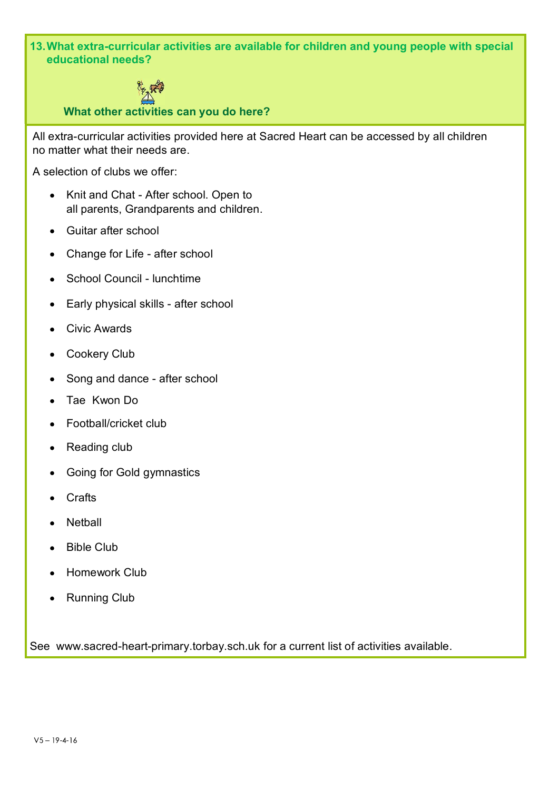13. What extra-curricular activities are available for children and young people with special educational needs?



What other activities can you do here?

All extra-curricular activities provided here at Sacred Heart can be accessed by all children no matter what their needs are.

A selection of clubs we offer:

- Knit and Chat After school. Open to all parents, Grandparents and children.
- Guitar after school
- Change for Life after school
- School Council lunchtime
- Early physical skills after school
- Civic Awards
- Cookery Club
- Song and dance after school
- Tae Kwon Do
- Football/cricket club
- Reading club
- Going for Gold gymnastics
- Crafts
- Netball
- Bible Club
- Homework Club
- Running Club

See www.sacred-heart-primary.torbay.sch.uk for a current list of activities available.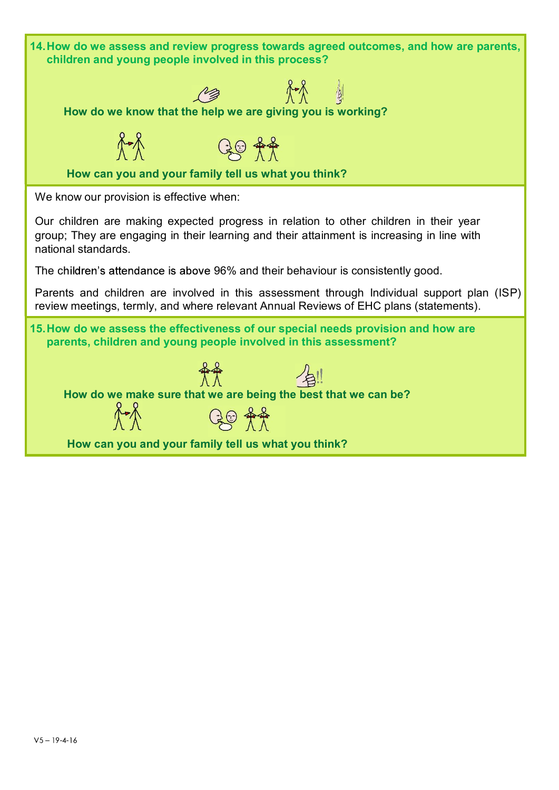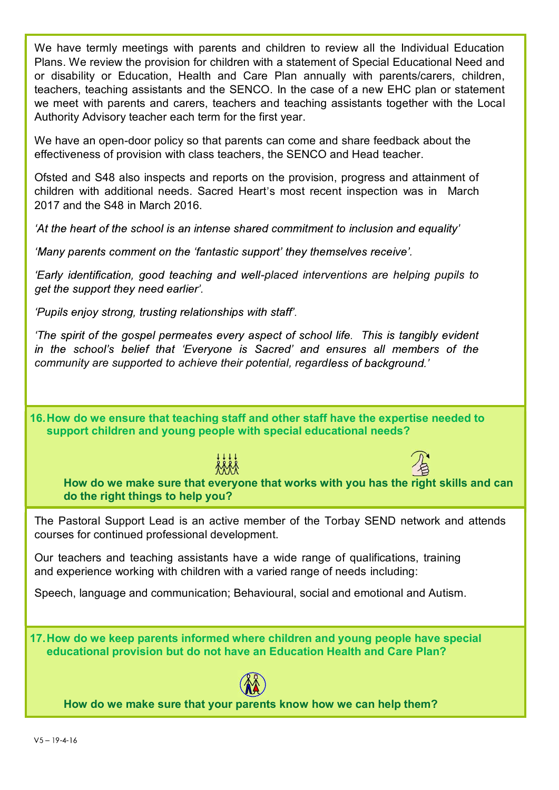We have termly meetings with parents and children to review all the Individual Education Plans. We review the provision for children with a statement of Special Educational Need and or disability or Education, Health and Care Plan annually with parents/carers, children, teachers, teaching assistants and the SENCO. In the case of a new EHC plan or statement we meet with parents and carers, teachers and teaching assistants together with the Local Authority Advisory teacher each term for the first year.

We have an open-door policy so that parents can come and share feedback about the effectiveness of provision with class teachers, the SENCO and Head teacher.

Ofsted and S48 also inspects and reports on the provision, progress and attainment of children with additional needs. Sacred Heart's most recent inspection was in March 2017 and the S48 in March 2016.

'At the heart of the school is an intense shared commitment to inclusion and equality'

'Many parents comment on the 'fantastic support' they themselves receive'.

'Early identification, good teaching and well-placed interventions are helping pupils to get the support they need earlier.

'Pupils enjoy strong, trusting relationships with staff'.

'The spirit of the gospel permeates every aspect of school life. This is tangibly evident in the school's belief that 'Everyone is Sacred' and ensures all members of the community are supported to achieve their potential, regardless of background.'

16. How do we ensure that teaching staff and other staff have the expertise needed to support children and young people with special educational needs?





How do we make sure that everyone that works with you has the right skills and can do the right things to help you?

The Pastoral Support Lead is an active member of the Torbay SEND network and attends courses for continued professional development.

Our teachers and teaching assistants have a wide range of qualifications, training and experience working with children with a varied range of needs including:

Speech, language and communication; Behavioural, social and emotional and Autism.

17. How do we keep parents informed where children and young people have special educational provision but do not have an Education Health and Care Plan?



How do we make sure that your parents know how we can help them?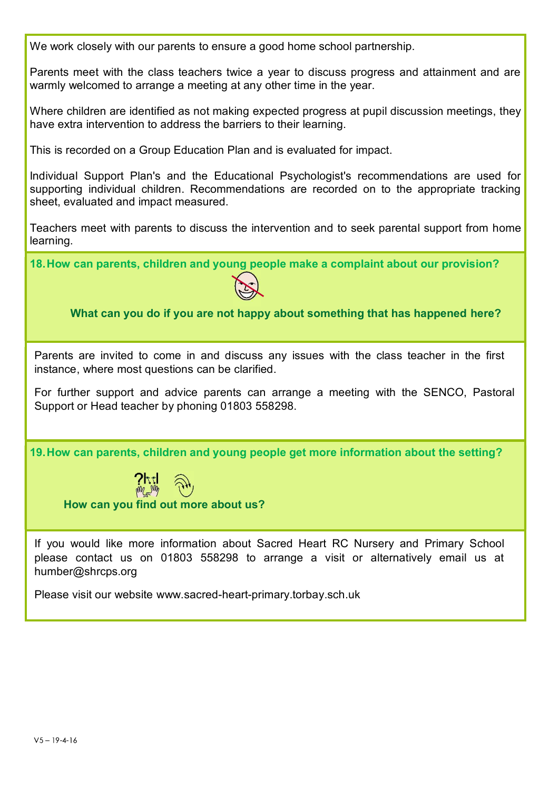We work closely with our parents to ensure a good home school partnership. Parents meet with the class teachers twice a year to discuss progress and attainment and are warmly welcomed to arrange a meeting at any other time in the year. Where children are identified as not making expected progress at pupil discussion meetings, they have extra intervention to address the barriers to their learning. This is recorded on a Group Education Plan and is evaluated for impact. Individual Support Plan's and the Educational Psychologist's recommendations are used for supporting individual children. Recommendations are recorded on to the appropriate tracking sheet, evaluated and impact measured. We work closely with our parents to ensure a good home school partnership.<br>
Parents meet with the class teachers twice a year to discuss progress and attainment and are<br>
warmly welcomed to arrange a meeting at any other ti learning. 18. How can parents, children and young people make a complaint about our provision? What can you do if you are not happy about something that has happened here? Parents are invited to come in and discuss any issues with the class teacher in the first instance, where most questions can be clarified. For further support and advice parents can arrange a meeting with the SENCO, Pastoral Support or Head teacher by phoning 01803 558298. 19. How can parents, children and young people get more information about the setting? How can you find out more about us? If you would like more information about Sacred Heart RC Nursery and Primary School please contact us on 01803 558298 to arrange a visit or alternatively email us at humber@shrcps.org Please visit our website www.sacred-heart-primary.torbay.sch.uk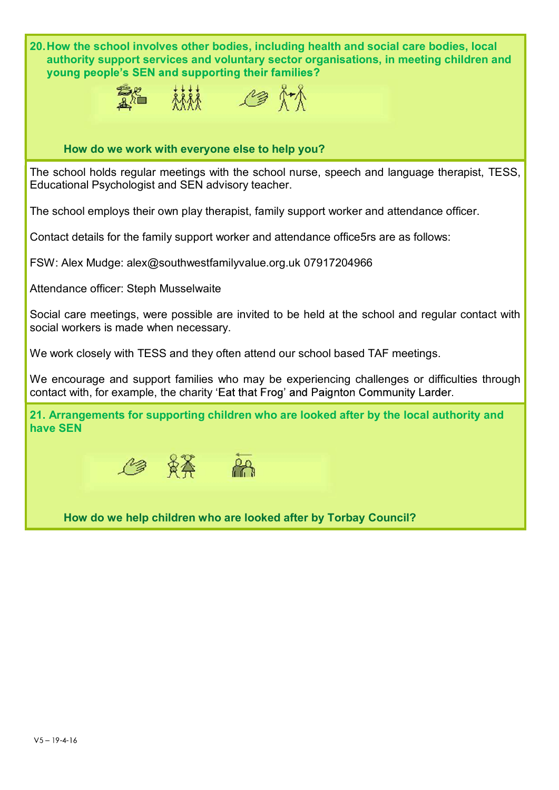